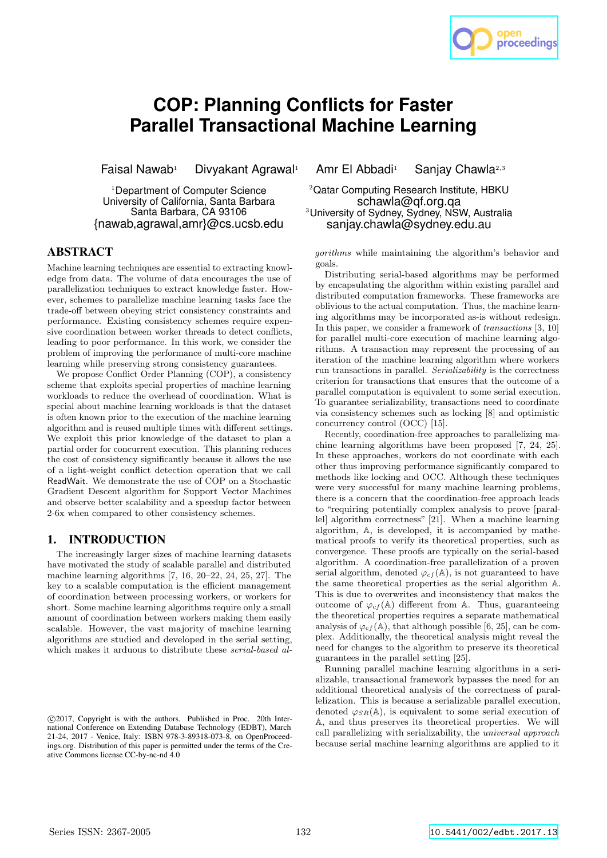# **COP: Planning Conflicts for Faster Parallel Transactional Machine Learning**

<sup>1</sup>Department of Computer Science University of California, Santa Barbara Santa Barbara, CA 93106 {nawab,agrawal,amr}@cs.ucsb.edu

# ABSTRACT

Machine learning techniques are essential to extracting knowledge from data. The volume of data encourages the use of parallelization techniques to extract knowledge faster. However, schemes to parallelize machine learning tasks face the trade-off between obeying strict consistency constraints and performance. Existing consistency schemes require expensive coordination between worker threads to detect conflicts, leading to poor performance. In this work, we consider the problem of improving the performance of multi-core machine learning while preserving strong consistency guarantees.

We propose Conflict Order Planning (COP), a consistency scheme that exploits special properties of machine learning workloads to reduce the overhead of coordination. What is special about machine learning workloads is that the dataset is often known prior to the execution of the machine learning algorithm and is reused multiple times with different settings. We exploit this prior knowledge of the dataset to plan a partial order for concurrent execution. This planning reduces the cost of consistency significantly because it allows the use of a light-weight conflict detection operation that we call ReadWait. We demonstrate the use of COP on a Stochastic Gradient Descent algorithm for Support Vector Machines and observe better scalability and a speedup factor between 2-6x when compared to other consistency schemes.

## 1. INTRODUCTION

The increasingly larger sizes of machine learning datasets have motivated the study of scalable parallel and distributed machine learning algorithms [7, 16, 20–22, 24, 25, 27]. The key to a scalable computation is the efficient management of coordination between processing workers, or workers for short. Some machine learning algorithms require only a small amount of coordination between workers making them easily scalable. However, the vast majority of machine learning algorithms are studied and developed in the serial setting, which makes it arduous to distribute these serial-based al-

Faisal Nawab<sup>1</sup> Divyakant Agrawal<sup>1</sup> Amr El Abbadi<sup>1</sup> Sanjay Chawla<sup>2,3</sup>

<sup>2</sup>Qatar Computing Research Institute, HBKU schawla@qf.org.qa <sup>3</sup>University of Sydney, Sydney, NSW, Australia sanjay.chawla@sydney.edu.au

gorithms while maintaining the algorithm's behavior and goals.

proceedings

Distributing serial-based algorithms may be performed by encapsulating the algorithm within existing parallel and distributed computation frameworks. These frameworks are oblivious to the actual computation. Thus, the machine learning algorithms may be incorporated as-is without redesign. In this paper, we consider a framework of *transactions* [3, 10] for parallel multi-core execution of machine learning algorithms. A transaction may represent the processing of an iteration of the machine learning algorithm where workers run transactions in parallel. Serializability is the correctness criterion for transactions that ensures that the outcome of a parallel computation is equivalent to some serial execution. To guarantee serializability, transactions need to coordinate via consistency schemes such as locking [8] and optimistic concurrency control (OCC) [15].

Recently, coordination-free approaches to parallelizing machine learning algorithms have been proposed [7, 24, 25]. In these approaches, workers do not coordinate with each other thus improving performance significantly compared to methods like locking and OCC. Although these techniques were very successful for many machine learning problems, there is a concern that the coordination-free approach leads to "requiring potentially complex analysis to prove [parallel] algorithm correctness" [21]. When a machine learning algorithm, A, is developed, it is accompanied by mathematical proofs to verify its theoretical properties, such as convergence. These proofs are typically on the serial-based algorithm. A coordination-free parallelization of a proven serial algorithm, denoted  $\varphi_{cf}(\mathbb{A})$ , is not guaranteed to have the same theoretical properties as the serial algorithm A. This is due to overwrites and inconsistency that makes the outcome of  $\varphi_{cf}(\mathbb{A})$  different from A. Thus, guaranteeing the theoretical properties requires a separate mathematical analysis of  $\varphi_{cf}(\mathbb{A})$ , that although possible [6, 25], can be complex. Additionally, the theoretical analysis might reveal the need for changes to the algorithm to preserve its theoretical guarantees in the parallel setting [25].

Running parallel machine learning algorithms in a serializable, transactional framework bypasses the need for an additional theoretical analysis of the correctness of parallelization. This is because a serializable parallel execution, denoted  $\varphi_{SR}(\mathbb{A})$ , is equivalent to some serial execution of A, and thus preserves its theoretical properties. We will call parallelizing with serializability, the universal approach because serial machine learning algorithms are applied to it

c 2017, Copyright is with the authors. Published in Proc. 20th International Conference on Extending Database Technology (EDBT), March 21-24, 2017 - Venice, Italy: ISBN 978-3-89318-073-8, on OpenProceedings.org. Distribution of this paper is permitted under the terms of the Creative Commons license CC-by-nc-nd 4.0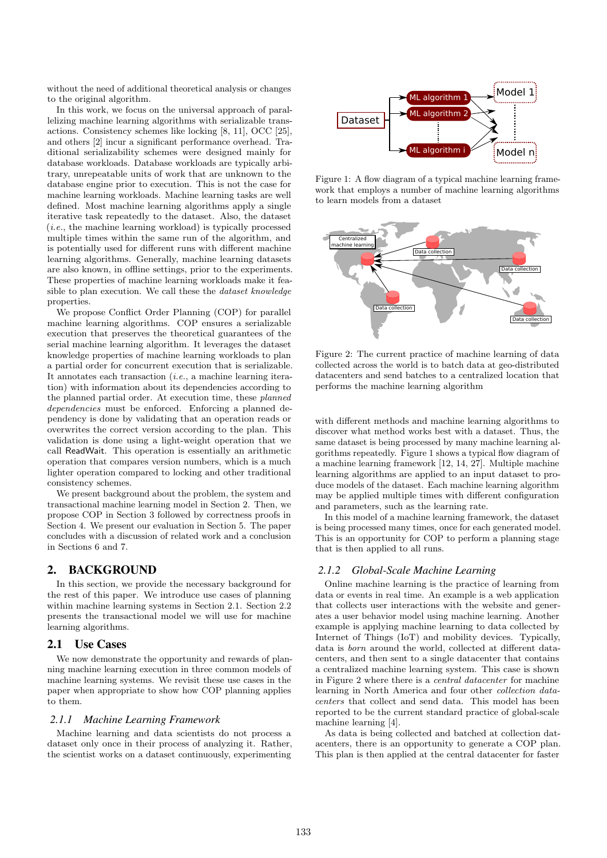without the need of additional theoretical analysis or changes to the original algorithm.

In this work, we focus on the universal approach of parallelizing machine learning algorithms with serializable transactions. Consistency schemes like locking [8, 11], OCC [25], and others [2] incur a significant performance overhead. Traditional serializability schemes were designed mainly for database workloads. Database workloads are typically arbitrary, unrepeatable units of work that are unknown to the database engine prior to execution. This is not the case for machine learning workloads. Machine learning tasks are well defined. Most machine learning algorithms apply a single iterative task repeatedly to the dataset. Also, the dataset (i.e., the machine learning workload) is typically processed multiple times within the same run of the algorithm, and is potentially used for different runs with different machine learning algorithms. Generally, machine learning datasets are also known, in offline settings, prior to the experiments. These properties of machine learning workloads make it feasible to plan execution. We call these the dataset knowledge properties.

We propose Conflict Order Planning (COP) for parallel machine learning algorithms. COP ensures a serializable execution that preserves the theoretical guarantees of the serial machine learning algorithm. It leverages the dataset knowledge properties of machine learning workloads to plan a partial order for concurrent execution that is serializable. It annotates each transaction (i.e., a machine learning iteration) with information about its dependencies according to the planned partial order. At execution time, these planned dependencies must be enforced. Enforcing a planned dependency is done by validating that an operation reads or overwrites the correct version according to the plan. This validation is done using a light-weight operation that we call ReadWait. This operation is essentially an arithmetic operation that compares version numbers, which is a much lighter operation compared to locking and other traditional consistency schemes.

We present background about the problem, the system and transactional machine learning model in Section 2. Then, we propose COP in Section 3 followed by correctness proofs in Section 4. We present our evaluation in Section 5. The paper concludes with a discussion of related work and a conclusion in Sections 6 and 7.

# 2. BACKGROUND

In this section, we provide the necessary background for the rest of this paper. We introduce use cases of planning within machine learning systems in Section 2.1. Section 2.2 presents the transactional model we will use for machine learning algorithms.

# 2.1 Use Cases

We now demonstrate the opportunity and rewards of planning machine learning execution in three common models of machine learning systems. We revisit these use cases in the paper when appropriate to show how COP planning applies to them.

#### *2.1.1 Machine Learning Framework*

Machine learning and data scientists do not process a dataset only once in their process of analyzing it. Rather, the scientist works on a dataset continuously, experimenting



Figure 1: A flow diagram of a typical machine learning framework that employs a number of machine learning algorithms to learn models from a dataset



Figure 2: The current practice of machine learning of data collected across the world is to batch data at geo-distributed datacenters and send batches to a centralized location that performs the machine learning algorithm

with different methods and machine learning algorithms to discover what method works best with a dataset. Thus, the same dataset is being processed by many machine learning algorithms repeatedly. Figure 1 shows a typical flow diagram of a machine learning framework [12, 14, 27]. Multiple machine learning algorithms are applied to an input dataset to produce models of the dataset. Each machine learning algorithm may be applied multiple times with different configuration and parameters, such as the learning rate.

In this model of a machine learning framework, the dataset is being processed many times, once for each generated model. This is an opportunity for COP to perform a planning stage that is then applied to all runs.

#### *2.1.2 Global-Scale Machine Learning*

Online machine learning is the practice of learning from data or events in real time. An example is a web application that collects user interactions with the website and generates a user behavior model using machine learning. Another example is applying machine learning to data collected by Internet of Things (IoT) and mobility devices. Typically, data is born around the world, collected at different datacenters, and then sent to a single datacenter that contains a centralized machine learning system. This case is shown in Figure 2 where there is a central datacenter for machine learning in North America and four other collection datacenters that collect and send data. This model has been reported to be the current standard practice of global-scale machine learning [4].

As data is being collected and batched at collection datacenters, there is an opportunity to generate a COP plan. This plan is then applied at the central datacenter for faster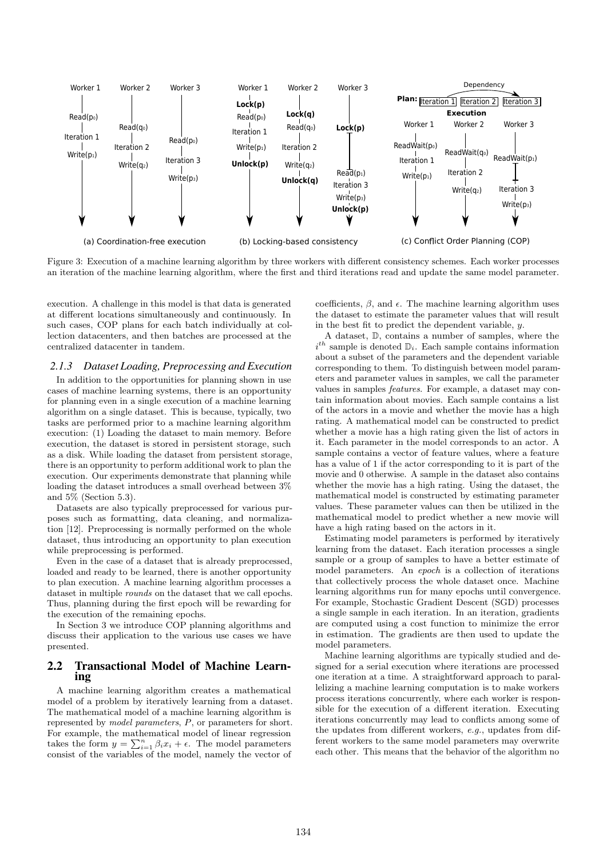

Figure 3: Execution of a machine learning algorithm by three workers with different consistency schemes. Each worker processes an iteration of the machine learning algorithm, where the first and third iterations read and update the same model parameter.

execution. A challenge in this model is that data is generated at different locations simultaneously and continuously. In such cases, COP plans for each batch individually at collection datacenters, and then batches are processed at the centralized datacenter in tandem.

#### *2.1.3 Dataset Loading, Preprocessing and Execution*

In addition to the opportunities for planning shown in use cases of machine learning systems, there is an opportunity for planning even in a single execution of a machine learning algorithm on a single dataset. This is because, typically, two tasks are performed prior to a machine learning algorithm execution: (1) Loading the dataset to main memory. Before execution, the dataset is stored in persistent storage, such as a disk. While loading the dataset from persistent storage, there is an opportunity to perform additional work to plan the execution. Our experiments demonstrate that planning while loading the dataset introduces a small overhead between 3% and 5% (Section 5.3).

Datasets are also typically preprocessed for various purposes such as formatting, data cleaning, and normalization [12]. Preprocessing is normally performed on the whole dataset, thus introducing an opportunity to plan execution while preprocessing is performed.

Even in the case of a dataset that is already preprocessed, loaded and ready to be learned, there is another opportunity to plan execution. A machine learning algorithm processes a dataset in multiple rounds on the dataset that we call epochs. Thus, planning during the first epoch will be rewarding for the execution of the remaining epochs.

In Section 3 we introduce COP planning algorithms and discuss their application to the various use cases we have presented.

# 2.2 Transactional Model of Machine Learning

A machine learning algorithm creates a mathematical model of a problem by iteratively learning from a dataset. The mathematical model of a machine learning algorithm is represented by model parameters, P, or parameters for short. For example, the mathematical model of linear regression takes the form  $y = \sum_{i=1}^{n} \beta_i x_i + \epsilon$ . The model parameters consist of the variables of the model, namely the vector of

coefficients,  $\beta$ , and  $\epsilon$ . The machine learning algorithm uses the dataset to estimate the parameter values that will result in the best fit to predict the dependent variable, y.

A dataset, D, contains a number of samples, where the  $i^{th}$  sample is denoted  $\mathbb{D}_i$ . Each sample contains information about a subset of the parameters and the dependent variable corresponding to them. To distinguish between model parameters and parameter values in samples, we call the parameter values in samples features. For example, a dataset may contain information about movies. Each sample contains a list of the actors in a movie and whether the movie has a high rating. A mathematical model can be constructed to predict whether a movie has a high rating given the list of actors in it. Each parameter in the model corresponds to an actor. A sample contains a vector of feature values, where a feature has a value of 1 if the actor corresponding to it is part of the movie and 0 otherwise. A sample in the dataset also contains whether the movie has a high rating. Using the dataset, the mathematical model is constructed by estimating parameter values. These parameter values can then be utilized in the mathematical model to predict whether a new movie will have a high rating based on the actors in it.

Estimating model parameters is performed by iteratively learning from the dataset. Each iteration processes a single sample or a group of samples to have a better estimate of model parameters. An epoch is a collection of iterations that collectively process the whole dataset once. Machine learning algorithms run for many epochs until convergence. For example, Stochastic Gradient Descent (SGD) processes a single sample in each iteration. In an iteration, gradients are computed using a cost function to minimize the error in estimation. The gradients are then used to update the model parameters.

Machine learning algorithms are typically studied and designed for a serial execution where iterations are processed one iteration at a time. A straightforward approach to parallelizing a machine learning computation is to make workers process iterations concurrently, where each worker is responsible for the execution of a different iteration. Executing iterations concurrently may lead to conflicts among some of the updates from different workers, e.g., updates from different workers to the same model parameters may overwrite each other. This means that the behavior of the algorithm no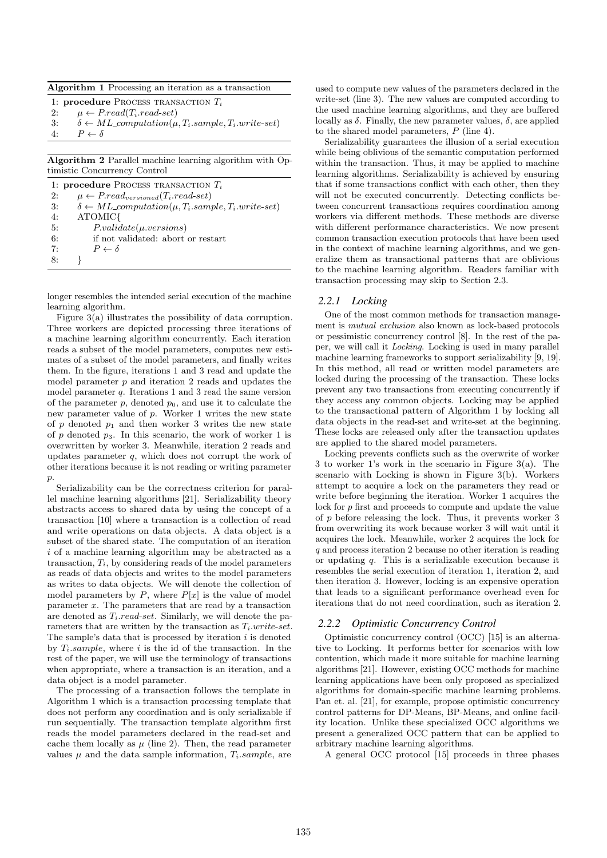| <b>Algorithm 1</b> Processing an iteration as a transaction |  |
|-------------------------------------------------------------|--|
|-------------------------------------------------------------|--|

1: procedure Process TRANSACTION  $T_i$ 

2:  $\mu \leftarrow P.read(T_i.read-set)$ 

3:  $\delta \leftarrow ML_{computation}(\mu, T_i.sample, T_i.write-set)$ 

4:  $P \leftarrow \delta$ 

Algorithm 2 Parallel machine learning algorithm with Optimistic Concurrency Control

|    | 1: <b>procedure</b> PROCESS TRANSACTION $T_i$                       |
|----|---------------------------------------------------------------------|
| 2: | $\mu \leftarrow P.read_{versioned}(T_i.read-set)$                   |
| 3: | $\delta \leftarrow ML\_computation(\mu, T_i.sample, T_i.write-set)$ |
| 4: | ATOMIC{                                                             |
| 5: | $P-valueidate(\mu.versions)$                                        |
| 6: | if not validated: abort or restart                                  |
| 7: | $P \leftarrow \delta$                                               |
| 8: |                                                                     |

longer resembles the intended serial execution of the machine learning algorithm.

Figure 3(a) illustrates the possibility of data corruption. Three workers are depicted processing three iterations of a machine learning algorithm concurrently. Each iteration reads a subset of the model parameters, computes new estimates of a subset of the model parameters, and finally writes them. In the figure, iterations 1 and 3 read and update the model parameter p and iteration 2 reads and updates the model parameter  $q$ . Iterations 1 and 3 read the same version of the parameter  $p$ , denoted  $p_0$ , and use it to calculate the new parameter value of p. Worker 1 writes the new state of  $p$  denoted  $p_1$  and then worker 3 writes the new state of p denoted  $p_3$ . In this scenario, the work of worker 1 is overwritten by worker 3. Meanwhile, iteration 2 reads and updates parameter  $q$ , which does not corrupt the work of other iterations because it is not reading or writing parameter p.

Serializability can be the correctness criterion for parallel machine learning algorithms [21]. Serializability theory abstracts access to shared data by using the concept of a transaction [10] where a transaction is a collection of read and write operations on data objects. A data object is a subset of the shared state. The computation of an iteration i of a machine learning algorithm may be abstracted as a transaction,  $T_i$ , by considering reads of the model parameters as reads of data objects and writes to the model parameters as writes to data objects. We will denote the collection of model parameters by  $P$ , where  $P[x]$  is the value of model parameter x. The parameters that are read by a transaction are denoted as  $T_i.read-set$ . Similarly, we will denote the parameters that are written by the transaction as  $T_i.write-set$ . The sample's data that is processed by iteration  $i$  is denoted by  $T_i$  sample, where i is the id of the transaction. In the rest of the paper, we will use the terminology of transactions when appropriate, where a transaction is an iteration, and a data object is a model parameter.

The processing of a transaction follows the template in Algorithm 1 which is a transaction processing template that does not perform any coordination and is only serializable if run sequentially. The transaction template algorithm first reads the model parameters declared in the read-set and cache them locally as  $\mu$  (line 2). Then, the read parameter values  $\mu$  and the data sample information,  $T_i$  sample, are used to compute new values of the parameters declared in the write-set (line 3). The new values are computed according to the used machine learning algorithms, and they are buffered locally as  $\delta$ . Finally, the new parameter values,  $\delta$ , are applied to the shared model parameters,  $P$  (line 4).

Serializability guarantees the illusion of a serial execution while being oblivious of the semantic computation performed within the transaction. Thus, it may be applied to machine learning algorithms. Serializability is achieved by ensuring that if some transactions conflict with each other, then they will not be executed concurrently. Detecting conflicts between concurrent transactions requires coordination among workers via different methods. These methods are diverse with different performance characteristics. We now present common transaction execution protocols that have been used in the context of machine learning algorithms, and we generalize them as transactional patterns that are oblivious to the machine learning algorithm. Readers familiar with transaction processing may skip to Section 2.3.

# *2.2.1 Locking*

One of the most common methods for transaction management is mutual exclusion also known as lock-based protocols or pessimistic concurrency control [8]. In the rest of the paper, we will call it Locking. Locking is used in many parallel machine learning frameworks to support serializability [9, 19]. In this method, all read or written model parameters are locked during the processing of the transaction. These locks prevent any two transactions from executing concurrently if they access any common objects. Locking may be applied to the transactional pattern of Algorithm 1 by locking all data objects in the read-set and write-set at the beginning. These locks are released only after the transaction updates are applied to the shared model parameters.

Locking prevents conflicts such as the overwrite of worker 3 to worker 1's work in the scenario in Figure 3(a). The scenario with Locking is shown in Figure 3(b). Workers attempt to acquire a lock on the parameters they read or write before beginning the iteration. Worker 1 acquires the lock for p first and proceeds to compute and update the value of p before releasing the lock. Thus, it prevents worker 3 from overwriting its work because worker 3 will wait until it acquires the lock. Meanwhile, worker 2 acquires the lock for q and process iteration 2 because no other iteration is reading or updating q. This is a serializable execution because it resembles the serial execution of iteration 1, iteration 2, and then iteration 3. However, locking is an expensive operation that leads to a significant performance overhead even for iterations that do not need coordination, such as iteration 2.

# *2.2.2 Optimistic Concurrency Control*

Optimistic concurrency control (OCC) [15] is an alternative to Locking. It performs better for scenarios with low contention, which made it more suitable for machine learning algorithms [21]. However, existing OCC methods for machine learning applications have been only proposed as specialized algorithms for domain-specific machine learning problems. Pan et. al. [21], for example, propose optimistic concurrency control patterns for DP-Means, BP-Means, and online facility location. Unlike these specialized OCC algorithms we present a generalized OCC pattern that can be applied to arbitrary machine learning algorithms.

A general OCC protocol [15] proceeds in three phases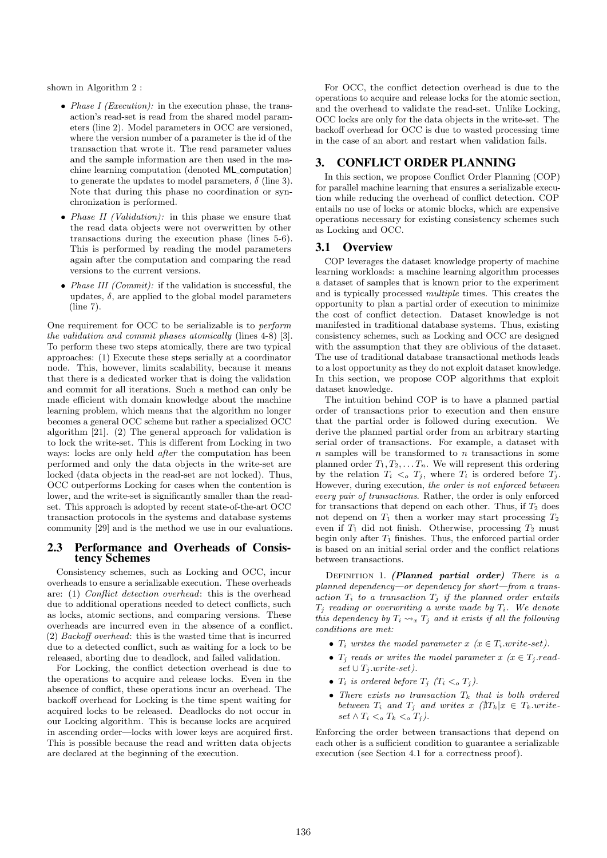shown in Algorithm 2 :

- *Phase I (Execution)*: in the execution phase, the transaction's read-set is read from the shared model parameters (line 2). Model parameters in OCC are versioned, where the version number of a parameter is the id of the transaction that wrote it. The read parameter values and the sample information are then used in the machine learning computation (denoted ML computation) to generate the updates to model parameters,  $\delta$  (line 3). Note that during this phase no coordination or synchronization is performed.
- *Phase II (Validation)*: in this phase we ensure that the read data objects were not overwritten by other transactions during the execution phase (lines 5-6). This is performed by reading the model parameters again after the computation and comparing the read versions to the current versions.
- *Phase III (Commit)*: if the validation is successful, the updates,  $\delta$ , are applied to the global model parameters (line 7).

One requirement for OCC to be serializable is to perform the validation and commit phases atomically (lines 4-8) [3]. To perform these two steps atomically, there are two typical approaches: (1) Execute these steps serially at a coordinator node. This, however, limits scalability, because it means that there is a dedicated worker that is doing the validation and commit for all iterations. Such a method can only be made efficient with domain knowledge about the machine learning problem, which means that the algorithm no longer becomes a general OCC scheme but rather a specialized OCC algorithm [21]. (2) The general approach for validation is to lock the write-set. This is different from Locking in two ways: locks are only held after the computation has been performed and only the data objects in the write-set are locked (data objects in the read-set are not locked). Thus, OCC outperforms Locking for cases when the contention is lower, and the write-set is significantly smaller than the readset. This approach is adopted by recent state-of-the-art OCC transaction protocols in the systems and database systems community [29] and is the method we use in our evaluations.

# 2.3 Performance and Overheads of Consistency Schemes

Consistency schemes, such as Locking and OCC, incur overheads to ensure a serializable execution. These overheads are: (1) Conflict detection overhead: this is the overhead due to additional operations needed to detect conflicts, such as locks, atomic sections, and comparing versions. These overheads are incurred even in the absence of a conflict. (2) Backoff overhead: this is the wasted time that is incurred due to a detected conflict, such as waiting for a lock to be released, aborting due to deadlock, and failed validation.

For Locking, the conflict detection overhead is due to the operations to acquire and release locks. Even in the absence of conflict, these operations incur an overhead. The backoff overhead for Locking is the time spent waiting for acquired locks to be released. Deadlocks do not occur in our Locking algorithm. This is because locks are acquired in ascending order—locks with lower keys are acquired first. This is possible because the read and written data objects are declared at the beginning of the execution.

For OCC, the conflict detection overhead is due to the operations to acquire and release locks for the atomic section, and the overhead to validate the read-set. Unlike Locking, OCC locks are only for the data objects in the write-set. The backoff overhead for OCC is due to wasted processing time in the case of an abort and restart when validation fails.

# 3. CONFLICT ORDER PLANNING

In this section, we propose Conflict Order Planning (COP) for parallel machine learning that ensures a serializable execution while reducing the overhead of conflict detection. COP entails no use of locks or atomic blocks, which are expensive operations necessary for existing consistency schemes such as Locking and OCC.

# 3.1 Overview

COP leverages the dataset knowledge property of machine learning workloads: a machine learning algorithm processes a dataset of samples that is known prior to the experiment and is typically processed multiple times. This creates the opportunity to plan a partial order of execution to minimize the cost of conflict detection. Dataset knowledge is not manifested in traditional database systems. Thus, existing consistency schemes, such as Locking and OCC are designed with the assumption that they are oblivious of the dataset. The use of traditional database transactional methods leads to a lost opportunity as they do not exploit dataset knowledge. In this section, we propose COP algorithms that exploit dataset knowledge.

The intuition behind COP is to have a planned partial order of transactions prior to execution and then ensure that the partial order is followed during execution. We derive the planned partial order from an arbitrary starting serial order of transactions. For example, a dataset with  $n$  samples will be transformed to  $n$  transactions in some planned order  $T_1, T_2, \ldots, T_n$ . We will represent this ordering by the relation  $T_i \leq \sigma T_j$ , where  $T_i$  is ordered before  $T_j$ . However, during execution, the order is not enforced between every pair of transactions. Rather, the order is only enforced for transactions that depend on each other. Thus, if  $T_2$  does not depend on  $T_1$  then a worker may start processing  $T_2$ even if  $T_1$  did not finish. Otherwise, processing  $T_2$  must begin only after  $T_1$  finishes. Thus, the enforced partial order is based on an initial serial order and the conflict relations between transactions.

DEFINITION 1. (Planned partial order) There is a planned dependency—or dependency for short—from a transaction  $T_i$  to a transaction  $T_j$  if the planned order entails  $T_j$  reading or overwriting a write made by  $T_i$ . We denote this dependency by  $T_i \rightarrow x$ ,  $T_j$  and it exists if all the following conditions are met:

- $T_i$  writes the model parameter  $x \ (x \in T_i.write-set)$ .
- $T_i$  reads or writes the model parameter  $x \ (x \in T_i.read$  $\textit{set} \cup T_j \textit{.write-set}.$
- $T_i$  is ordered before  $T_j$   $(T_i <_o T_j)$ .
- There exists no transaction  $T_k$  that is both ordered between  $T_i$  and  $T_j$  and writes  $x \notin T_k | x \in T_k$ .writeset  $\wedge T_i \leq_o T_k \leq_o T_j$ ).

Enforcing the order between transactions that depend on each other is a sufficient condition to guarantee a serializable execution (see Section 4.1 for a correctness proof).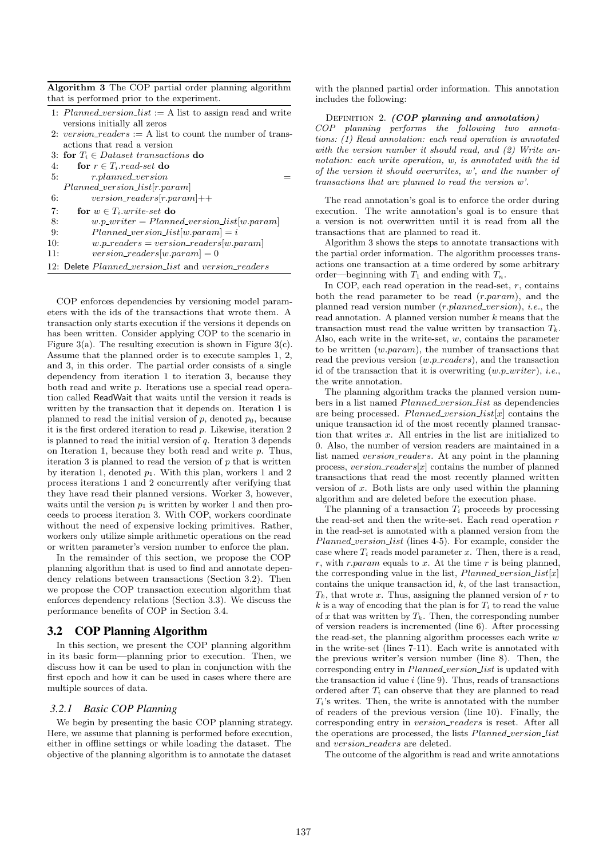Algorithm 3 The COP partial order planning algorithm that is performed prior to the experiment.

- 1: Planned\_version\_list := A list to assign read and write versions initially all zeros
- 2: version\_readers := A list to count the number of transactions that read a version
- 3: for  $T_i \in Datasets$  transactions do

```
4: for r \in T_i.read-set do
5: r.planned_version
   Planned\_version\_list[r.parent]6: version\_readers[r.param]++7: for w \in T_i write-set do
8: w.p\_writer = Planned\_version\_list[w.parent]9: Planned_version_list[w.param] = i10: w.p\_readers = version\_readers[w.param]11: version\_readers[w.parent] = 0
```
12: Delete Planned\_version\_list and version\_readers

COP enforces dependencies by versioning model parameters with the ids of the transactions that wrote them. A transaction only starts execution if the versions it depends on has been written. Consider applying COP to the scenario in Figure 3(a). The resulting execution is shown in Figure 3(c). Assume that the planned order is to execute samples 1, 2, and 3, in this order. The partial order consists of a single dependency from iteration 1 to iteration 3, because they both read and write p. Iterations use a special read operation called ReadWait that waits until the version it reads is written by the transaction that it depends on. Iteration 1 is planned to read the initial version of  $p$ , denoted  $p_0$ , because it is the first ordered iteration to read p. Likewise, iteration 2 is planned to read the initial version of  $q$ . Iteration 3 depends on Iteration 1, because they both read and write  $p$ . Thus, iteration 3 is planned to read the version of  $p$  that is written by iteration 1, denoted  $p_1$ . With this plan, workers 1 and 2 process iterations 1 and 2 concurrently after verifying that they have read their planned versions. Worker 3, however, waits until the version  $p_1$  is written by worker 1 and then proceeds to process iteration 3. With COP, workers coordinate without the need of expensive locking primitives. Rather, workers only utilize simple arithmetic operations on the read or written parameter's version number to enforce the plan.

In the remainder of this section, we propose the COP planning algorithm that is used to find and annotate dependency relations between transactions (Section 3.2). Then we propose the COP transaction execution algorithm that enforces dependency relations (Section 3.3). We discuss the performance benefits of COP in Section 3.4.

# 3.2 COP Planning Algorithm

In this section, we present the COP planning algorithm in its basic form—planning prior to execution. Then, we discuss how it can be used to plan in conjunction with the first epoch and how it can be used in cases where there are multiple sources of data.

# *3.2.1 Basic COP Planning*

We begin by presenting the basic COP planning strategy. Here, we assume that planning is performed before execution, either in offline settings or while loading the dataset. The objective of the planning algorithm is to annotate the dataset

with the planned partial order information. This annotation includes the following:

#### DEFINITION 2.  $(COP$  planning and annotation)

COP planning performs the following two annotations: (1) Read annotation: each read operation is annotated with the version number it should read, and (2) Write annotation: each write operation, w, is annotated with the id of the version it should overwrites, w', and the number of transactions that are planned to read the version w'.

The read annotation's goal is to enforce the order during execution. The write annotation's goal is to ensure that a version is not overwritten until it is read from all the transactions that are planned to read it.

Algorithm 3 shows the steps to annotate transactions with the partial order information. The algorithm processes transactions one transaction at a time ordered by some arbitrary order—beginning with  $T_1$  and ending with  $T_n$ .

In COP, each read operation in the read-set,  $r$ , contains both the read parameter to be read  $(r.param)$ , and the planned read version number  $(r.\textit{planned\_version})$ , *i.e.*, the read annotation. A planned version number  $k$  means that the transaction must read the value written by transaction  $T_k$ . Also, each write in the write-set,  $w$ , contains the parameter to be written  $(w.param)$ , the number of transactions that read the previous version  $(w.p\_readers)$ , and the transaction id of the transaction that it is overwriting  $(w.p\_writer)$ , *i.e.*, the write annotation.

The planning algorithm tracks the planned version numbers in a list named Planned\_version\_list as dependencies are being processed. Planned\_version\_list[x] contains the unique transaction id of the most recently planned transaction that writes  $x$ . All entries in the list are initialized to 0. Also, the number of version readers are maintained in a list named version\_readers. At any point in the planning process,  $version\_readers[x]$  contains the number of planned transactions that read the most recently planned written version of  $x$ . Both lists are only used within the planning algorithm and are deleted before the execution phase.

The planning of a transaction  $T_i$  proceeds by processing the read-set and then the write-set. Each read operation  $r$ in the read-set is annotated with a planned version from the Planned\_version\_list (lines 4-5). For example, consider the case where  $T_i$  reads model parameter x. Then, there is a read, r, with r.param equals to x. At the time r is being planned, the corresponding value in the list,  $Planned\_version\_list[x]$ contains the unique transaction id,  $k$ , of the last transaction,  $T_k$ , that wrote x. Thus, assigning the planned version of r to  $k$  is a way of encoding that the plan is for  $T_i$  to read the value of  $x$  that was written by  $T_k$ . Then, the corresponding number of version readers is incremented (line 6). After processing the read-set, the planning algorithm processes each write  $w$ in the write-set (lines 7-11). Each write is annotated with the previous writer's version number (line 8). Then, the corresponding entry in *Planned\_version\_list* is updated with the transaction id value  $i$  (line 9). Thus, reads of transactions ordered after  $T_i$  can observe that they are planned to read  $T_i$ 's writes. Then, the write is annotated with the number of readers of the previous version (line 10). Finally, the corresponding entry in *version\_readers* is reset. After all the operations are processed, the lists Planned\_version\_list and *version\_readers* are deleted.

The outcome of the algorithm is read and write annotations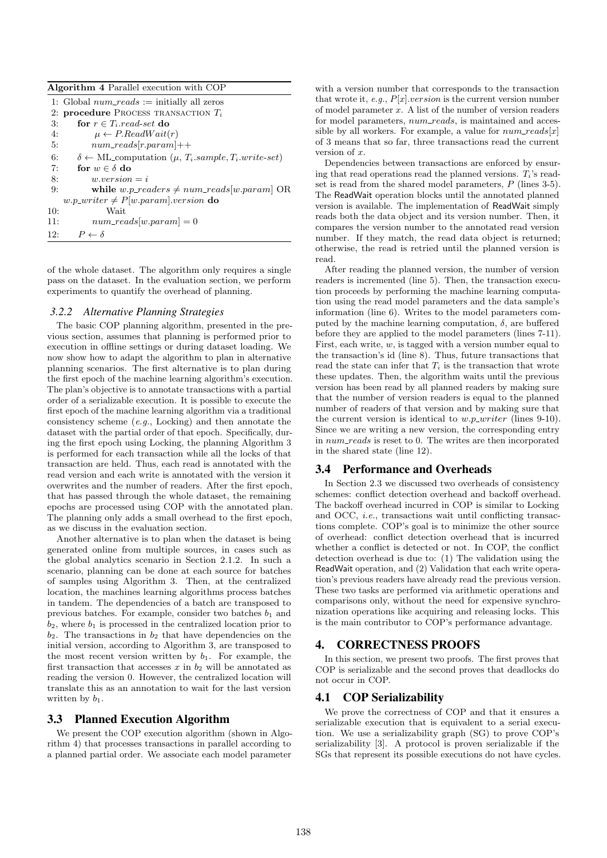| <b>Algorithm 4 Parallel execution with COP</b> |                                                                                               |  |  |  |  |
|------------------------------------------------|-----------------------------------------------------------------------------------------------|--|--|--|--|
|                                                | 1: Global $num\_reads :=$ initially all zeros                                                 |  |  |  |  |
|                                                | 2: procedure PROCESS TRANSACTION $T_i$                                                        |  |  |  |  |
| 3:                                             | for $r \in T_i.read-set$ do                                                                   |  |  |  |  |
| 4:                                             | $\mu \leftarrow P$ . ReadWait $(r)$                                                           |  |  |  |  |
| 5:                                             | $num\_reads[r.parent]++$                                                                      |  |  |  |  |
| 6:                                             | $\delta \leftarrow \text{ML-computation } (\mu, T_i \text{.} sample, T_i \text{.} write-set)$ |  |  |  |  |
| 7:                                             | for $w \in \delta$ do                                                                         |  |  |  |  |
| 8:                                             | $w.version = i$                                                                               |  |  |  |  |
| 9:                                             | while w.p_readers $\neq num\_reads[w.parent]$ OR                                              |  |  |  |  |
|                                                | w.p_writer $\neq P[w.parent].version$ do                                                      |  |  |  |  |
| 10:                                            | Wait                                                                                          |  |  |  |  |
| 11:                                            | $num\_reads[w.parent] = 0$                                                                    |  |  |  |  |
| 12:                                            | $P \leftarrow \delta$                                                                         |  |  |  |  |

of the whole dataset. The algorithm only requires a single pass on the dataset. In the evaluation section, we perform experiments to quantify the overhead of planning.

#### *3.2.2 Alternative Planning Strategies*

The basic COP planning algorithm, presented in the previous section, assumes that planning is performed prior to execution in offline settings or during dataset loading. We now show how to adapt the algorithm to plan in alternative planning scenarios. The first alternative is to plan during the first epoch of the machine learning algorithm's execution. The plan's objective is to annotate transactions with a partial order of a serializable execution. It is possible to execute the first epoch of the machine learning algorithm via a traditional consistency scheme (e.g., Locking) and then annotate the dataset with the partial order of that epoch. Specifically, during the first epoch using Locking, the planning Algorithm 3 is performed for each transaction while all the locks of that transaction are held. Thus, each read is annotated with the read version and each write is annotated with the version it overwrites and the number of readers. After the first epoch, that has passed through the whole dataset, the remaining epochs are processed using COP with the annotated plan. The planning only adds a small overhead to the first epoch, as we discuss in the evaluation section.

Another alternative is to plan when the dataset is being generated online from multiple sources, in cases such as the global analytics scenario in Section 2.1.2. In such a scenario, planning can be done at each source for batches of samples using Algorithm 3. Then, at the centralized location, the machines learning algorithms process batches in tandem. The dependencies of a batch are transposed to previous batches. For example, consider two batches  $b_1$  and  $b_2$ , where  $b_1$  is processed in the centralized location prior to  $b_2$ . The transactions in  $b_2$  that have dependencies on the initial version, according to Algorithm 3, are transposed to the most recent version written by  $b_1$ . For example, the first transaction that accesses x in  $b_2$  will be annotated as reading the version 0. However, the centralized location will translate this as an annotation to wait for the last version written by  $b_1$ .

## 3.3 Planned Execution Algorithm

We present the COP execution algorithm (shown in Algorithm 4) that processes transactions in parallel according to a planned partial order. We associate each model parameter

with a version number that corresponds to the transaction that wrote it, e.g.,  $P[x]$ .version is the current version number of model parameter  $x$ . A list of the number of version readers for model parameters,  $num\_reads$ , is maintained and accessible by all workers. For example, a value for  $num\_reads[x]$ of 3 means that so far, three transactions read the current version of  $x$ .

Dependencies between transactions are enforced by ensuring that read operations read the planned versions.  $T_i$ 's readset is read from the shared model parameters, P (lines 3-5). The ReadWait operation blocks until the annotated planned version is available. The implementation of ReadWait simply reads both the data object and its version number. Then, it compares the version number to the annotated read version number. If they match, the read data object is returned; otherwise, the read is retried until the planned version is read.

After reading the planned version, the number of version readers is incremented (line 5). Then, the transaction execution proceeds by performing the machine learning computation using the read model parameters and the data sample's information (line 6). Writes to the model parameters computed by the machine learning computation,  $\delta$ , are buffered before they are applied to the model parameters (lines 7-11). First, each write,  $w$ , is tagged with a version number equal to the transaction's id (line 8). Thus, future transactions that read the state can infer that  $T_i$  is the transaction that wrote these updates. Then, the algorithm waits until the previous version has been read by all planned readers by making sure that the number of version readers is equal to the planned number of readers of that version and by making sure that the current version is identical to  $w.p\_writer$  (lines 9-10). Since we are writing a new version, the corresponding entry in num reads is reset to 0. The writes are then incorporated in the shared state (line 12).

#### 3.4 Performance and Overheads

In Section 2.3 we discussed two overheads of consistency schemes: conflict detection overhead and backoff overhead. The backoff overhead incurred in COP is similar to Locking and OCC, i.e., transactions wait until conflicting transactions complete. COP's goal is to minimize the other source of overhead: conflict detection overhead that is incurred whether a conflict is detected or not. In COP, the conflict detection overhead is due to: (1) The validation using the ReadWait operation, and (2) Validation that each write operation's previous readers have already read the previous version. These two tasks are performed via arithmetic operations and comparisons only, without the need for expensive synchronization operations like acquiring and releasing locks. This is the main contributor to COP's performance advantage.

## 4. CORRECTNESS PROOFS

In this section, we present two proofs. The first proves that COP is serializable and the second proves that deadlocks do not occur in COP.

# 4.1 COP Serializability

We prove the correctness of COP and that it ensures a serializable execution that is equivalent to a serial execution. We use a serializability graph (SG) to prove COP's serializability [3]. A protocol is proven serializable if the SGs that represent its possible executions do not have cycles.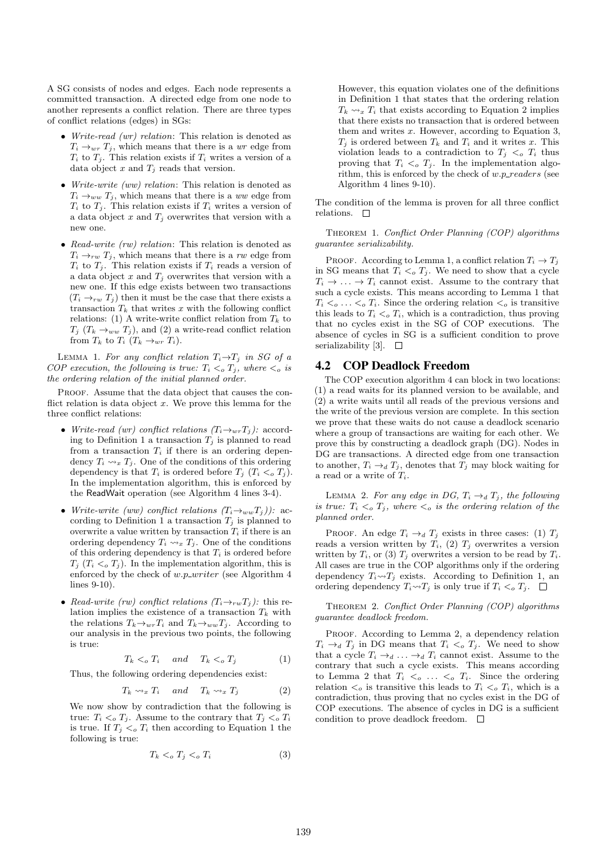A SG consists of nodes and edges. Each node represents a committed transaction. A directed edge from one node to another represents a conflict relation. There are three types of conflict relations (edges) in SGs:

- Write-read (wr) relation: This relation is denoted as  $T_i \rightarrow_{wr} T_j$ , which means that there is a wr edge from  $T_i$  to  $T_j$ . This relation exists if  $T_i$  writes a version of a data object x and  $T_i$  reads that version.
- Write-write (ww) relation: This relation is denoted as  $T_i \rightarrow_{ww} T_j$ , which means that there is a ww edge from  $T_i$  to  $T_j$ . This relation exists if  $T_i$  writes a version of a data object  $x$  and  $T_j$  overwrites that version with a new one.
- Read-write (rw) relation: This relation is denoted as  $T_i \rightarrow_{rw} T_j$ , which means that there is a rw edge from  $T_i$  to  $T_j$ . This relation exists if  $T_i$  reads a version of a data object x and  $T_i$  overwrites that version with a new one. If this edge exists between two transactions  $(T_i \rightarrow_{rw} T_i)$  then it must be the case that there exists a transaction  $T_k$  that writes x with the following conflict relations: (1) A write-write conflict relation from  $T_k$  to  $T_j$  ( $T_k \rightarrow_{ww} T_j$ ), and (2) a write-read conflict relation from  $T_k$  to  $T_i$   $(T_k \rightarrow_{wr} T_i)$ .

LEMMA 1. For any conflict relation  $T_i \rightarrow T_j$  in SG of a COP execution, the following is true:  $T_i <_{\alpha} T_j$ , where  $\lt_{\alpha}$  is the ordering relation of the initial planned order.

PROOF. Assume that the data object that causes the conflict relation is data object  $x$ . We prove this lemma for the three conflict relations:

- Write-read (wr) conflict relations  $(T_i \rightarrow_{wr} T_j)$ : according to Definition 1 a transaction  $T_i$  is planned to read from a transaction  $T_i$  if there is an ordering dependency  $T_i \rightarrow x T_j$ . One of the conditions of this ordering dependency is that  $T_i$  is ordered before  $T_j$   $(T_i <_o T_j)$ . In the implementation algorithm, this is enforced by the ReadWait operation (see Algorithm 4 lines 3-4).
- Write-write (ww) conflict relations  $(T_i \rightarrow_{ww} T_j)$ ): according to Definition 1 a transaction  $T_j$  is planned to overwrite a value written by transaction  $T_i$  if there is an ordering dependency  $T_i \rightsquigarrow_x T_j$ . One of the conditions of this ordering dependency is that  $T_i$  is ordered before  $T_i$  ( $T_i <_{\text{o}} T_j$ ). In the implementation algorithm, this is enforced by the check of  $w.p\_writer$  (see Algorithm 4 lines 9-10).
- Read-write (rw) conflict relations  $(T_i \rightarrow_{rw} T_j)$ : this relation implies the existence of a transaction  $T_k$  with the relations  $T_k \rightarrow_{wr} T_i$  and  $T_k \rightarrow_{ww} T_i$ . According to our analysis in the previous two points, the following is true:

$$
T_k \leq_o T_i \quad and \quad T_k \leq_o T_j \tag{1}
$$

Thus, the following ordering dependencies exist:

$$
T_k \rightsquigarrow_x T_i \quad and \quad T_k \rightsquigarrow_x T_j \tag{2}
$$

We now show by contradiction that the following is true:  $T_i <_{o} T_j$ . Assume to the contrary that  $T_j <_{o} T_i$ is true. If  $T_j \lt_o T_i$  then according to Equation 1 the following is true:

$$
T_k \lt_o T_j \lt_o T_i \tag{3}
$$

However, this equation violates one of the definitions in Definition 1 that states that the ordering relation  $T_k \rightarrow x T_i$  that exists according to Equation 2 implies that there exists no transaction that is ordered between them and writes  $x$ . However, according to Equation 3,  $T_i$  is ordered between  $T_k$  and  $T_i$  and it writes x. This violation leads to a contradiction to  $T_j <_{o} T_i$  thus proving that  $T_i <_{o} T_j$ . In the implementation algorithm, this is enforced by the check of  $w.p\_readers$  (see Algorithm 4 lines 9-10).

The condition of the lemma is proven for all three conflict relations.  $\square$ 

THEOREM 1. Conflict Order Planning (COP) algorithms guarantee serializability.

PROOF. According to Lemma 1, a conflict relation  $T_i \to T_j$ in SG means that  $T_i <_{o} T_j$ . We need to show that a cycle  $T_i \to \ldots \to T_i$  cannot exist. Assume to the contrary that such a cycle exists. This means according to Lemma 1 that  $T_i <_{\text{o}} \ldots <_{\text{o}} T_i$ . Since the ordering relation  $\lt_o$  is transitive this leads to  $T_i <_{\text{o}} T_i$ , which is a contradiction, thus proving that no cycles exist in the SG of COP executions. The absence of cycles in SG is a sufficient condition to prove serializability [3].  $\square$ 

# 4.2 COP Deadlock Freedom

The COP execution algorithm 4 can block in two locations: (1) a read waits for its planned version to be available, and (2) a write waits until all reads of the previous versions and the write of the previous version are complete. In this section we prove that these waits do not cause a deadlock scenario where a group of transactions are waiting for each other. We prove this by constructing a deadlock graph (DG). Nodes in DG are transactions. A directed edge from one transaction to another,  $T_i \rightarrow_d T_j$ , denotes that  $T_j$  may block waiting for a read or a write of  $T_i$ .

LEMMA 2. For any edge in DG,  $T_i \rightarrow_d T_j$ , the following is true:  $T_i <_{o} T_j$ , where  $\lt_o$  is the ordering relation of the planned order.

PROOF. An edge  $T_i \rightarrow_d T_j$  exists in three cases: (1)  $T_j$ reads a version written by  $T_i$ , (2)  $T_j$  overwrites a version written by  $T_i$ , or (3)  $T_j$  overwrites a version to be read by  $T_i$ . All cases are true in the COP algorithms only if the ordering dependency  $T_i \rightarrow T_j$  exists. According to Definition 1, an ordering dependency  $T_i \rightarrow T_j$  is only true if  $T_i <_o T_j$ .  $\Box$ 

Theorem 2. Conflict Order Planning (COP) algorithms guarantee deadlock freedom.

PROOF. According to Lemma 2, a dependency relation  $T_i \rightarrow_d T_j$  in DG means that  $T_i <_{\sigma} T_j$ . We need to show that a cycle  $T_i \rightarrow_d \ldots \rightarrow_d T_i$  cannot exist. Assume to the contrary that such a cycle exists. This means according to Lemma 2 that  $T_i \leq_o \ldots \leq_o T_i$ . Since the ordering relation  $\lt_o$  is transitive this leads to  $T_i \lt_o T_i$ , which is a contradiction, thus proving that no cycles exist in the DG of COP executions. The absence of cycles in DG is a sufficient condition to prove deadlock freedom.  $\Box$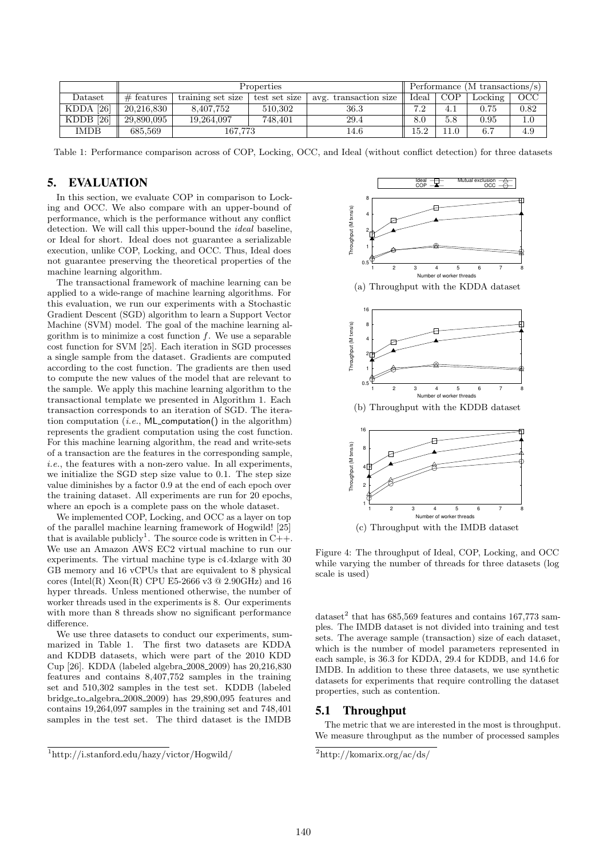|             | Properties   |                   |               |                       | Performance (M transactions/s) |       |         |      |
|-------------|--------------|-------------------|---------------|-----------------------|--------------------------------|-------|---------|------|
| Dataset     | $#$ features | training set size | test set size | avg. transaction size | Ideal                          | COP   | Locking | OCC  |
| $KDDA$ [26] | 20.216.830   | 8.407.752         | 510.302       | 36.3                  | 7.2                            |       | 0.75    | 0.82 |
| $KDDB$ [26] | 29,890,095   | 19.264.097        | 748.401       | 29.4                  | $8.0\,$                        | 5.8   | 0.95    |      |
| <b>IMDB</b> | 685.569      | 167.773           |               | l4.6                  | $15.2\,$                       | l 1.0 | 6.7     | 4.9  |

Table 1: Performance comparison across of COP, Locking, OCC, and Ideal (without conflict detection) for three datasets

# 5. EVALUATION

In this section, we evaluate COP in comparison to Locking and OCC. We also compare with an upper-bound of performance, which is the performance without any conflict detection. We will call this upper-bound the ideal baseline, or Ideal for short. Ideal does not guarantee a serializable execution, unlike COP, Locking, and OCC. Thus, Ideal does not guarantee preserving the theoretical properties of the machine learning algorithm.

The transactional framework of machine learning can be applied to a wide-range of machine learning algorithms. For this evaluation, we run our experiments with a Stochastic Gradient Descent (SGD) algorithm to learn a Support Vector Machine (SVM) model. The goal of the machine learning algorithm is to minimize a cost function  $f$ . We use a separable cost function for SVM [25]. Each iteration in SGD processes a single sample from the dataset. Gradients are computed according to the cost function. The gradients are then used to compute the new values of the model that are relevant to the sample. We apply this machine learning algorithm to the transactional template we presented in Algorithm 1. Each transaction corresponds to an iteration of SGD. The iteration computation (*i.e.*,  $ML$  computation() in the algorithm) represents the gradient computation using the cost function. For this machine learning algorithm, the read and write-sets of a transaction are the features in the corresponding sample,  $i.e.,$  the features with a non-zero value. In all experiments, we initialize the SGD step size value to 0.1. The step size value diminishes by a factor 0.9 at the end of each epoch over the training dataset. All experiments are run for 20 epochs, where an epoch is a complete pass on the whole dataset.

We implemented COP, Locking, and OCC as a layer on top of the parallel machine learning framework of Hogwild! [25] that is available publicly<sup>1</sup>. The source code is written in  $C_{++}$ . We use an Amazon AWS EC2 virtual machine to run our experiments. The virtual machine type is c4.4xlarge with 30 GB memory and 16 vCPUs that are equivalent to 8 physical cores (Intel(R)  $Xeon(R)$  CPU E5-2666 v3  $@$  2.90GHz) and 16 hyper threads. Unless mentioned otherwise, the number of worker threads used in the experiments is 8. Our experiments with more than 8 threads show no significant performance difference.

We use three datasets to conduct our experiments, summarized in Table 1. The first two datasets are KDDA and KDDB datasets, which were part of the 2010 KDD Cup [26]. KDDA (labeled algebra 2008 2009) has 20,216,830 features and contains 8,407,752 samples in the training set and 510,302 samples in the test set. KDDB (labeled bridge to algebra 2008 2009) has 29,890,095 features and contains 19,264,097 samples in the training set and 748,401 samples in the test set. The third dataset is the IMDB



Figure 4: The throughput of Ideal, COP, Locking, and OCC while varying the number of threads for three datasets (log scale is used)

dataset<sup>2</sup> that has 685,569 features and contains 167,773 samples. The IMDB dataset is not divided into training and test sets. The average sample (transaction) size of each dataset, which is the number of model parameters represented in each sample, is 36.3 for KDDA, 29.4 for KDDB, and 14.6 for IMDB. In addition to these three datasets, we use synthetic datasets for experiments that require controlling the dataset properties, such as contention.

#### 5.1 Throughput

The metric that we are interested in the most is throughput. We measure throughput as the number of processed samples

<sup>1</sup>http://i.stanford.edu/hazy/victor/Hogwild/

 $\sqrt[2]{\text{http://komarix.org/ac/ds/}}$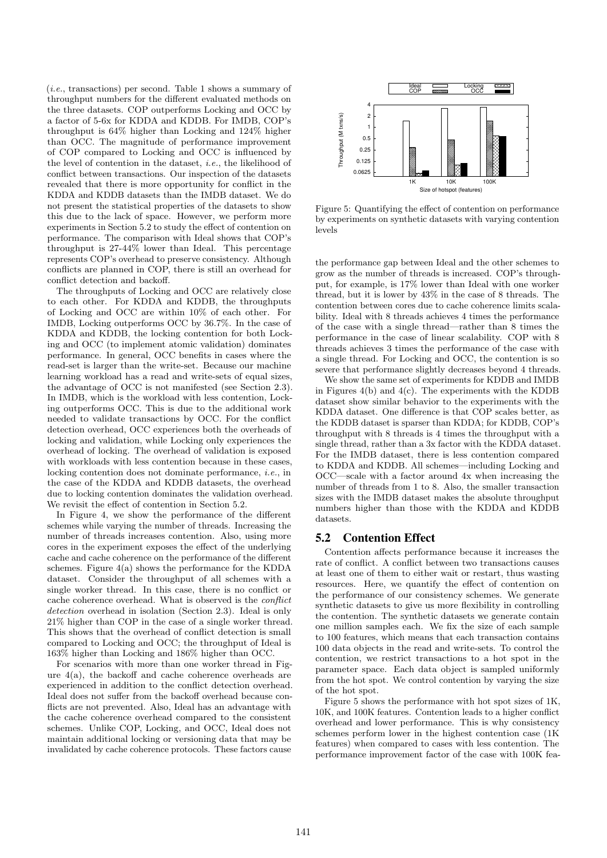(i.e., transactions) per second. Table 1 shows a summary of throughput numbers for the different evaluated methods on the three datasets. COP outperforms Locking and OCC by a factor of 5-6x for KDDA and KDDB. For IMDB, COP's throughput is 64% higher than Locking and 124% higher than OCC. The magnitude of performance improvement of COP compared to Locking and OCC is influenced by the level of contention in the dataset, i.e., the likelihood of conflict between transactions. Our inspection of the datasets revealed that there is more opportunity for conflict in the KDDA and KDDB datasets than the IMDB dataset. We do not present the statistical properties of the datasets to show this due to the lack of space. However, we perform more experiments in Section 5.2 to study the effect of contention on performance. The comparison with Ideal shows that COP's throughput is 27-44% lower than Ideal. This percentage represents COP's overhead to preserve consistency. Although conflicts are planned in COP, there is still an overhead for conflict detection and backoff.

The throughputs of Locking and OCC are relatively close to each other. For KDDA and KDDB, the throughputs of Locking and OCC are within 10% of each other. For IMDB, Locking outperforms OCC by 36.7%. In the case of KDDA and KDDB, the locking contention for both Locking and OCC (to implement atomic validation) dominates performance. In general, OCC benefits in cases where the read-set is larger than the write-set. Because our machine learning workload has a read and write-sets of equal sizes, the advantage of OCC is not manifested (see Section 2.3). In IMDB, which is the workload with less contention, Locking outperforms OCC. This is due to the additional work needed to validate transactions by OCC. For the conflict detection overhead, OCC experiences both the overheads of locking and validation, while Locking only experiences the overhead of locking. The overhead of validation is exposed with workloads with less contention because in these cases, locking contention does not dominate performance, i.e., in the case of the KDDA and KDDB datasets, the overhead due to locking contention dominates the validation overhead. We revisit the effect of contention in Section 5.2.

In Figure 4, we show the performance of the different schemes while varying the number of threads. Increasing the number of threads increases contention. Also, using more cores in the experiment exposes the effect of the underlying cache and cache coherence on the performance of the different schemes. Figure  $4(a)$  shows the performance for the KDDA dataset. Consider the throughput of all schemes with a single worker thread. In this case, there is no conflict or cache coherence overhead. What is observed is the conflict detection overhead in isolation (Section 2.3). Ideal is only 21% higher than COP in the case of a single worker thread. This shows that the overhead of conflict detection is small compared to Locking and OCC; the throughput of Ideal is 163% higher than Locking and 186% higher than OCC.

For scenarios with more than one worker thread in Figure 4(a), the backoff and cache coherence overheads are experienced in addition to the conflict detection overhead. Ideal does not suffer from the backoff overhead because conflicts are not prevented. Also, Ideal has an advantage with the cache coherence overhead compared to the consistent schemes. Unlike COP, Locking, and OCC, Ideal does not maintain additional locking or versioning data that may be invalidated by cache coherence protocols. These factors cause



Figure 5: Quantifying the effect of contention on performance by experiments on synthetic datasets with varying contention levels

the performance gap between Ideal and the other schemes to grow as the number of threads is increased. COP's throughput, for example, is 17% lower than Ideal with one worker thread, but it is lower by 43% in the case of 8 threads. The contention between cores due to cache coherence limits scalability. Ideal with 8 threads achieves 4 times the performance of the case with a single thread—rather than 8 times the performance in the case of linear scalability. COP with 8 threads achieves 3 times the performance of the case with a single thread. For Locking and OCC, the contention is so severe that performance slightly decreases beyond 4 threads.

We show the same set of experiments for KDDB and IMDB in Figures  $4(b)$  and  $4(c)$ . The experiments with the KDDB dataset show similar behavior to the experiments with the KDDA dataset. One difference is that COP scales better, as the KDDB dataset is sparser than KDDA; for KDDB, COP's throughput with 8 threads is 4 times the throughput with a single thread, rather than a 3x factor with the KDDA dataset. For the IMDB dataset, there is less contention compared to KDDA and KDDB. All schemes—including Locking and OCC—scale with a factor around 4x when increasing the number of threads from 1 to 8. Also, the smaller transaction sizes with the IMDB dataset makes the absolute throughput numbers higher than those with the KDDA and KDDB datasets.

#### 5.2 Contention Effect

Contention affects performance because it increases the rate of conflict. A conflict between two transactions causes at least one of them to either wait or restart, thus wasting resources. Here, we quantify the effect of contention on the performance of our consistency schemes. We generate synthetic datasets to give us more flexibility in controlling the contention. The synthetic datasets we generate contain one million samples each. We fix the size of each sample to 100 features, which means that each transaction contains 100 data objects in the read and write-sets. To control the contention, we restrict transactions to a hot spot in the parameter space. Each data object is sampled uniformly from the hot spot. We control contention by varying the size of the hot spot.

Figure 5 shows the performance with hot spot sizes of 1K, 10K, and 100K features. Contention leads to a higher conflict overhead and lower performance. This is why consistency schemes perform lower in the highest contention case (1K features) when compared to cases with less contention. The performance improvement factor of the case with 100K fea-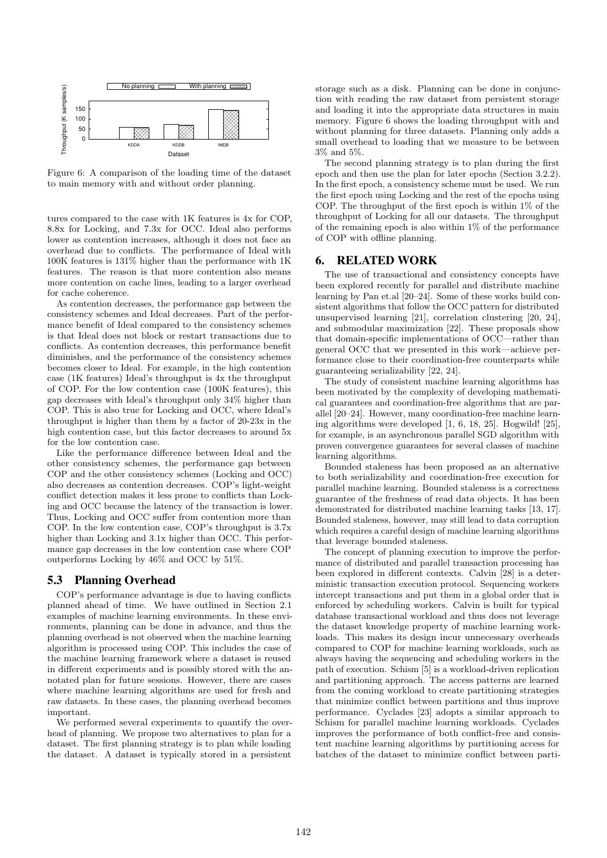

Figure 6: A comparison of the loading time of the dataset to main memory with and without order planning.

tures compared to the case with 1K features is 4x for COP, 8.8x for Locking, and 7.3x for OCC. Ideal also performs lower as contention increases, although it does not face an overhead due to conflicts. The performance of Ideal with 100K features is 131% higher than the performance with 1K features. The reason is that more contention also means more contention on cache lines, leading to a larger overhead for cache coherence.

As contention decreases, the performance gap between the consistency schemes and Ideal decreases. Part of the performance benefit of Ideal compared to the consistency schemes is that Ideal does not block or restart transactions due to conflicts. As contention decreases, this performance benefit diminishes, and the performance of the consistency schemes becomes closer to Ideal. For example, in the high contention case (1K features) Ideal's throughput is 4x the throughput of COP. For the low contention case (100K features), this gap decreases with Ideal's throughput only 34% higher than COP. This is also true for Locking and OCC, where Ideal's throughput is higher than them by a factor of 20-23x in the high contention case, but this factor decreases to around 5x for the low contention case.

Like the performance difference between Ideal and the other consistency schemes, the performance gap between COP and the other consistency schemes (Locking and OCC) also decreases as contention decreases. COP's light-weight conflict detection makes it less prone to conflicts than Locking and OCC because the latency of the transaction is lower. Thus, Locking and OCC suffer from contention more than COP. In the low contention case, COP's throughput is 3.7x higher than Locking and 3.1x higher than OCC. This performance gap decreases in the low contention case where COP outperforms Locking by 46% and OCC by 51%.

# 5.3 Planning Overhead

COP's performance advantage is due to having conflicts planned ahead of time. We have outlined in Section 2.1 examples of machine learning environments. In these environments, planning can be done in advance, and thus the planning overhead is not observed when the machine learning algorithm is processed using COP. This includes the case of the machine learning framework where a dataset is reused in different experiments and is possibly stored with the annotated plan for future sessions. However, there are cases where machine learning algorithms are used for fresh and raw datasets. In these cases, the planning overhead becomes important.

We performed several experiments to quantify the overhead of planning. We propose two alternatives to plan for a dataset. The first planning strategy is to plan while loading the dataset. A dataset is typically stored in a persistent

storage such as a disk. Planning can be done in conjunction with reading the raw dataset from persistent storage and loading it into the appropriate data structures in main memory. Figure 6 shows the loading throughput with and without planning for three datasets. Planning only adds a small overhead to loading that we measure to be between 3% and 5%.

The second planning strategy is to plan during the first epoch and then use the plan for later epochs (Section 3.2.2). In the first epoch, a consistency scheme must be used. We run the first epoch using Locking and the rest of the epochs using COP. The throughput of the first epoch is within 1% of the throughput of Locking for all our datasets. The throughput of the remaining epoch is also within 1% of the performance of COP with offline planning.

## 6. RELATED WORK

The use of transactional and consistency concepts have been explored recently for parallel and distribute machine learning by Pan et.al [20–24]. Some of these works build consistent algorithms that follow the OCC pattern for distributed unsupervised learning [21], correlation clustering [20, 24], and submodular maximization [22]. These proposals show that domain-specific implementations of OCC—rather than general OCC that we presented in this work—achieve performance close to their coordination-free counterparts while guaranteeing serializability [22, 24].

The study of consistent machine learning algorithms has been motivated by the complexity of developing mathematical guarantees and coordination-free algorithms that are parallel [20–24]. However, many coordination-free machine learning algorithms were developed [1, 6, 18, 25]. Hogwild! [25], for example, is an asynchronous parallel SGD algorithm with proven convergence guarantees for several classes of machine learning algorithms.

Bounded staleness has been proposed as an alternative to both serializability and coordination-free execution for parallel machine learning. Bounded staleness is a correctness guarantee of the freshness of read data objects. It has been demonstrated for distributed machine learning tasks [13, 17]. Bounded staleness, however, may still lead to data corruption which requires a careful design of machine learning algorithms that leverage bounded staleness.

The concept of planning execution to improve the performance of distributed and parallel transaction processing has been explored in different contexts. Calvin [28] is a deterministic transaction execution protocol. Sequencing workers intercept transactions and put them in a global order that is enforced by scheduling workers. Calvin is built for typical database transactional workload and thus does not leverage the dataset knowledge property of machine learning workloads. This makes its design incur unnecessary overheads compared to COP for machine learning workloads, such as always having the sequencing and scheduling workers in the path of execution. Schism [5] is a workload-driven replication and partitioning approach. The access patterns are learned from the coming workload to create partitioning strategies that minimize conflict between partitions and thus improve performance. Cyclades [23] adopts a similar approach to Schism for parallel machine learning workloads. Cyclades improves the performance of both conflict-free and consistent machine learning algorithms by partitioning access for batches of the dataset to minimize conflict between parti